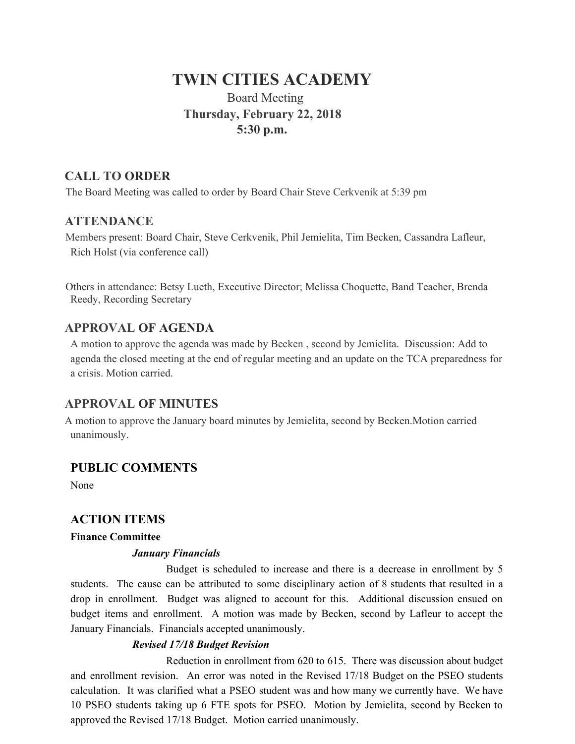# **TWIN CITIES ACADEMY**

# Board Meeting  **Thursday, February 22, 2018 5:30 p.m.**

# **CALL TO ORDER**

The Board Meeting was called to order by Board Chair Steve Cerkvenik at 5:39 pm

### **ATTENDANCE**

Members present: Board Chair, Steve Cerkvenik, Phil Jemielita, Tim Becken, Cassandra Lafleur, Rich Holst (via conference call)

Others in attendance: Betsy Lueth, Executive Director; Melissa Choquette, Band Teacher, Brenda Reedy, Recording Secretary

# **APPROVAL OF AGENDA**

A motion to approve the agenda was made by Becken , second by Jemielita. Discussion: Add to agenda the closed meeting at the end of regular meeting and an update on the TCA preparedness for a crisis. Motion carried.

# **APPROVAL OF MINUTES**

A motion to approve the January board minutes by Jemielita, second by Becken.Motion carried unanimously.

### **PUBLIC COMMENTS**

None

### **ACTION ITEMS**

### **Finance Committee**

### *January Financials*

Budget is scheduled to increase and there is a decrease in enrollment by 5 students. The cause can be attributed to some disciplinary action of 8 students that resulted in a drop in enrollment. Budget was aligned to account for this. Additional discussion ensued on budget items and enrollment. A motion was made by Becken, second by Lafleur to accept the January Financials. Financials accepted unanimously.

### *Revised 17/18 Budget Revision*

Reduction in enrollment from 620 to 615. There was discussion about budget and enrollment revision. An error was noted in the Revised 17/18 Budget on the PSEO students calculation. It was clarified what a PSEO student was and how many we currently have. We have 10 PSEO students taking up 6 FTE spots for PSEO. Motion by Jemielita, second by Becken to approved the Revised 17/18 Budget. Motion carried unanimously.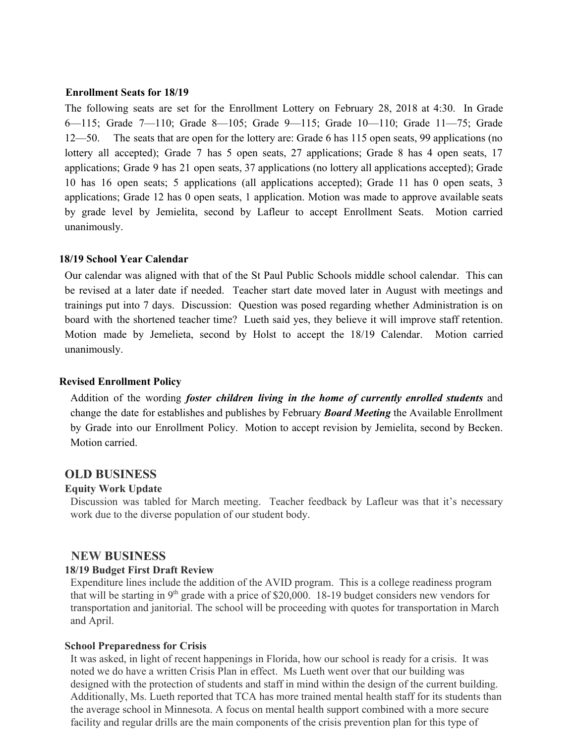#### **Enrollment Seats for 18/19**

The following seats are set for the Enrollment Lottery on February 28, 2018 at 4:30. In Grade 6—115; Grade 7—110; Grade 8—105; Grade 9—115; Grade 10—110; Grade 11—75; Grade 12—50. The seats that are open for the lottery are: Grade 6 has 115 open seats, 99 applications (no lottery all accepted); Grade 7 has 5 open seats, 27 applications; Grade 8 has 4 open seats, 17 applications; Grade 9 has 21 open seats, 37 applications (no lottery all applications accepted); Grade 10 has 16 open seats; 5 applications (all applications accepted); Grade 11 has 0 open seats, 3 applications; Grade 12 has 0 open seats, 1 application. Motion was made to approve available seats by grade level by Jemielita, second by Lafleur to accept Enrollment Seats. Motion carried unanimously.

#### **18/19 School Year Calendar**

Our calendar was aligned with that of the St Paul Public Schools middle school calendar. This can be revised at a later date if needed. Teacher start date moved later in August with meetings and trainings put into 7 days. Discussion: Question was posed regarding whether Administration is on board with the shortened teacher time? Lueth said yes, they believe it will improve staff retention. Motion made by Jemelieta, second by Holst to accept the 18/19 Calendar. Motion carried unanimously.

#### **Revised Enrollment Policy**

Addition of the wording *foster children living in the home of currently enrolled students* and change the date for establishes and publishes by February *Board Meeting* the Available Enrollment by Grade into our Enrollment Policy. Motion to accept revision by Jemielita, second by Becken. Motion carried.

#### **OLD BUSINESS**

#### **Equity Work Update**

Discussion was tabled for March meeting. Teacher feedback by Lafleur was that it's necessary work due to the diverse population of our student body.

#### **NEW BUSINESS**

#### **18/19 Budget First Draft Review**

Expenditure lines include the addition of the AVID program. This is a college readiness program that will be starting in  $9<sup>th</sup>$  grade with a price of \$20,000. 18-19 budget considers new vendors for transportation and janitorial. The school will be proceeding with quotes for transportation in March and April.

#### **School Preparedness for Crisis**

It was asked, in light of recent happenings in Florida, how our school is ready for a crisis. It was noted we do have a written Crisis Plan in effect. Ms Lueth went over that our building was designed with the protection of students and staff in mind within the design of the current building. Additionally, Ms. Lueth reported that TCA has more trained mental health staff for its students than the average school in Minnesota. A focus on mental health support combined with a more secure facility and regular drills are the main components of the crisis prevention plan for this type of